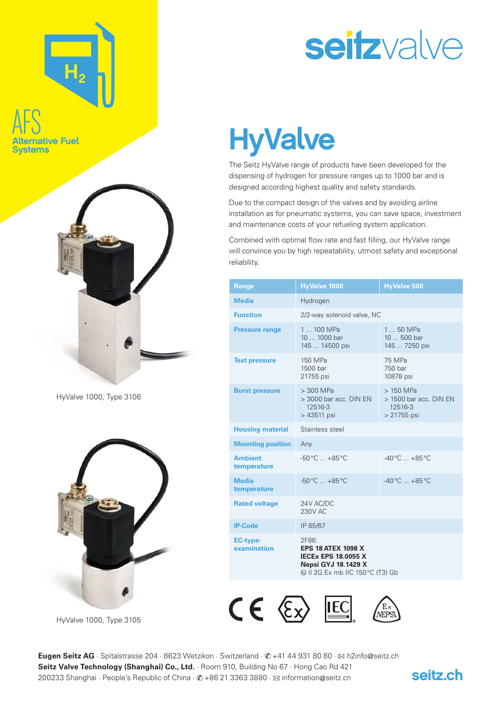# AFS native Fuel

**Systems** 



HyValve 1000, Type 3106



HyValve 1000, Type 3105

## seitzvalve

### **HyValve**

The Seitz HyValve range of products have been developed for the dispensing of hydrogen for pressure ranges up to 1000 bar and is designed according highest quality and safety standards.

Due to the compact design of the valves and by avoiding airline installation as for pneumatic systems, you can save space, investment and maintenance costs of your refueling system application.

Combined with optimal flow rate and fast filling, our HyValve range will convince you by high repeatability, utmost safety and exceptional reliability.

| <b>Range</b>                   | <b>HyValve 1000</b>                                                                                                                | <b>HyValve 500</b>                                               |  |
|--------------------------------|------------------------------------------------------------------------------------------------------------------------------------|------------------------------------------------------------------|--|
| <b>Media</b>                   | Hydrogen                                                                                                                           |                                                                  |  |
| <b>Function</b>                | 2/2-way solenoid valve, NC                                                                                                         |                                                                  |  |
| <b>Pressure range</b>          | 1  100 MPa<br>10  1000 bar<br>145  14500 psi                                                                                       | $150$ MPa<br>$10500$ bar<br>145  7250 psi                        |  |
| <b>Test pressure</b>           | 150 MPa<br>1500 bar<br>21755 psi                                                                                                   | 75 MPa<br>750 bar<br>10878 psi                                   |  |
| <b>Burst pressure</b>          | $> 300$ MPa<br>> 3000 bar acc. DIN EN<br>12516-3<br>> 43511 psi                                                                    | $>150$ MPa<br>> 1500 bar acc. DIN EN<br>12516-3<br>$> 21755$ psi |  |
| <b>Housing material</b>        | Stainless steel                                                                                                                    |                                                                  |  |
| <b>Mounting position</b>       | Any                                                                                                                                |                                                                  |  |
| <b>Ambient</b><br>temperature  | $-50^{\circ}$ C $+85^{\circ}$ C                                                                                                    | $-40^{\circ}$ C $+85^{\circ}$ C                                  |  |
| <b>Media</b><br>temperature    | $-50^{\circ}$ C $+85^{\circ}$ C                                                                                                    | $-40\,^{\circ}\text{C}$ $+85\,^{\circ}\text{C}$                  |  |
| <b>Rated voltage</b>           | 24V AC/DC<br>230V AC                                                                                                               |                                                                  |  |
| <b>IP-Code</b>                 | IP 65/67                                                                                                                           |                                                                  |  |
| <b>EC-type-</b><br>examination | 2F86:<br><b>EPS 18 ATEX 1098 X</b><br><b>IECEX EPS 18.0055 X</b><br><b>Nepsi GYJ 18.1429 X</b><br>© II 2G Ex mb IIC 150 °C (T3) Gb |                                                                  |  |



Eugen Seitz AG · Spitalstrasse 204 · 8623 Wetzikon · Switzerland ·  $\mathcal{O}$  +41 44 931 80 80 ·  $\boxtimes$  h2info@seitz.ch **Seitz Valve Technology (Shanghai) Co., Ltd.** Room 910, Building No 67 · Hong Cao Rd 421 200233 Shanghai · People's Republic of China ·  $\oslash$  +86 21 3363 3880 ·  $\boxtimes$  information@seitz.cn